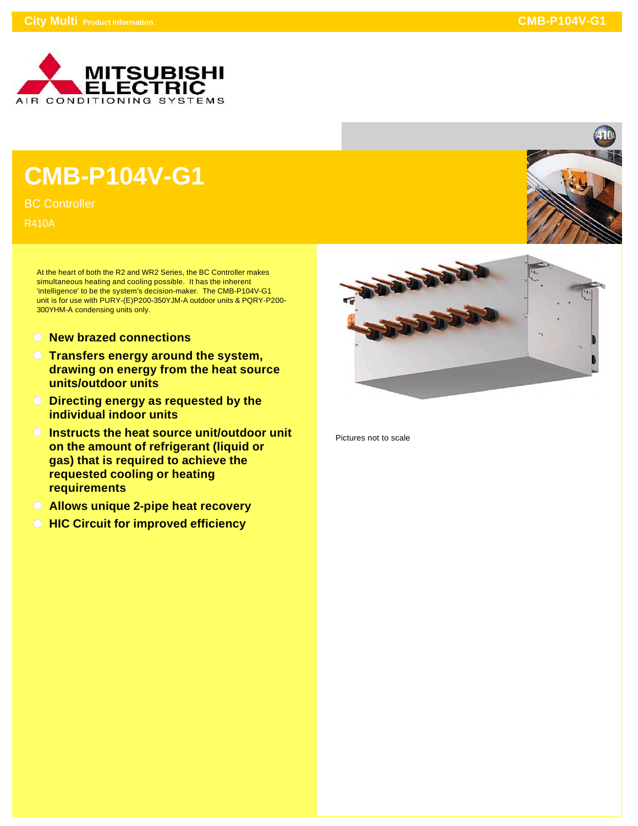

## **CMB-P104V-G1**

BC Controller

R410A

At the heart of both the R2 and WR2 Series, the BC Controller makes simultaneous heating and cooling possible. It has the inherent 'intelligence' to be the system's decision-maker. The CMB-P104V-G1 unit is for use with PURY-(E)P200-350YJM-A outdoor units & PQRY-P200- 300YHM-A condensing units only.

- **New brazed connections**
- **Transfers energy around the system, drawing on energy from the heat source units/outdoor units**
- **Directing energy as requested by the individual indoor units**
- **Instructs the heat source unit/outdoor unit on the amount of refrigerant (liquid or gas) that is required to achieve the requested cooling or heating requirements**
- **Allows unique 2-pipe heat recovery**
- **All HIC Circuit for improved efficiency**



Pictures not to scale